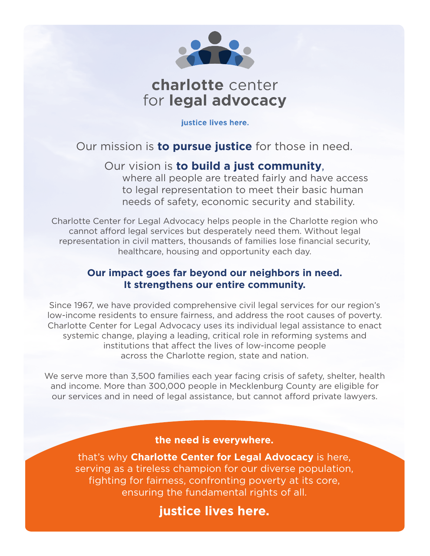

# charlotte center for legal advocacy

justice lives here.

# Our mission is **to pursue justice** for those in need.

# Our vision is **to build a just community**,

where all people are treated fairly and have access to legal representation to meet their basic human needs of safety, economic security and stability.

Charlotte Center for Legal Advocacy helps people in the Charlotte region who cannot afford legal services but desperately need them. Without legal representation in civil matters, thousands of families lose financial security, healthcare, housing and opportunity each day.

## **Our impact goes far beyond our neighbors in need. It strengthens our entire community.**

Since 1967, we have provided comprehensive civil legal services for our region's low-income residents to ensure fairness, and address the root causes of poverty. Charlotte Center for Legal Advocacy uses its individual legal assistance to enact systemic change, playing a leading, critical role in reforming systems and institutions that affect the lives of low-income people across the Charlotte region, state and nation.

We serve more than 3,500 families each year facing crisis of safety, shelter, health and income. More than 300,000 people in Mecklenburg County are eligible for our services and in need of legal assistance, but cannot afford private lawyers.

#### **the need is everywhere.**

that's why **Charlotte Center for Legal Advocacy** is here, serving as a tireless champion for our diverse population, fighting for fairness, confronting poverty at its core, ensuring the fundamental rights of all.

**justice lives here.**